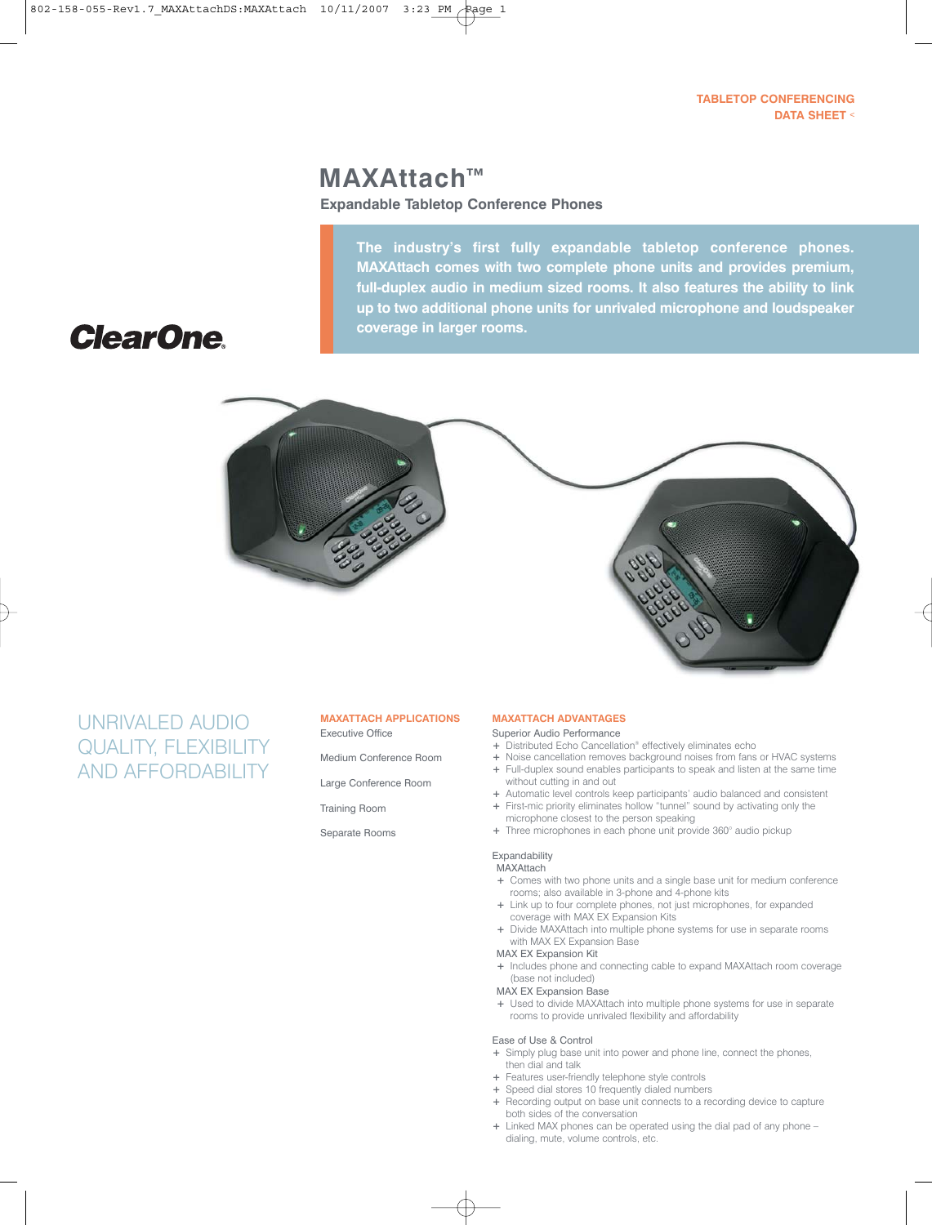### **TABLETOP CONFERENCING DATA SHEET** <

# **MAXAttach™**

**Expandable Tabletop Conference Phones**

**The industry's first fully expandable tabletop conference phones. MAXAttach comes with two complete phone units and provides premium, full-duplex audio in medium sized rooms. It also features the ability to link up to two additional phone units for unrivaled microphone and loudspeaker coverage in larger rooms.**

# **ClearOne**



## UNRIVALED AUDIO QUALITY, FLEXIBILITY AND AFFORDABILITY

### **MAXATTACH APPLICATIONS** Executive Office

- Medium Conference Room
- Large Conference Room
- Training Room

Separate Rooms

### **MAXATTACH ADVANTAGES**

- Superior Audio Performance
- **+** Distributed Echo Cancellation® effectively eliminates echo
- **+** Noise cancellation removes background noises from fans or HVAC systems **+** Full-duplex sound enables participants to speak and listen at the same time without cutting in and out
- **+** Automatic level controls keep participants' audio balanced and consistent **+** First-mic priority eliminates hollow "tunnel" sound by activating only the
- microphone closest to the person speaking
- **+** Three microphones in each phone unit provide 360° audio pickup

### Expandability

### MAXAttach

- **+** Comes with two phone units and a single base unit for medium conference rooms; also available in 3-phone and 4-phone kits
- **+** Link up to four complete phones, not just microphones, for expanded coverage with MAX EX Expansion Kits
- **+** Divide MAXAttach into multiple phone systems for use in separate rooms with MAX EX Expansion Base

### MAX EX Expansion Kit

- **+** Includes phone and connecting cable to expand MAXAttach room coverage (base not included)
- MAX EX Expansion Base
- **+** Used to divide MAXAttach into multiple phone systems for use in separate rooms to provide unrivaled flexibility and affordability

### Ease of Use & Control

- **+** Simply plug base unit into power and phone line, connect the phones, then dial and talk
- **+** Features user-friendly telephone style controls
- **+** Speed dial stores 10 frequently dialed numbers
- **+** Recording output on base unit connects to a recording device to capture both sides of the conversation
- **+** Linked MAX phones can be operated using the dial pad of any phone dialing, mute, volume controls, etc.